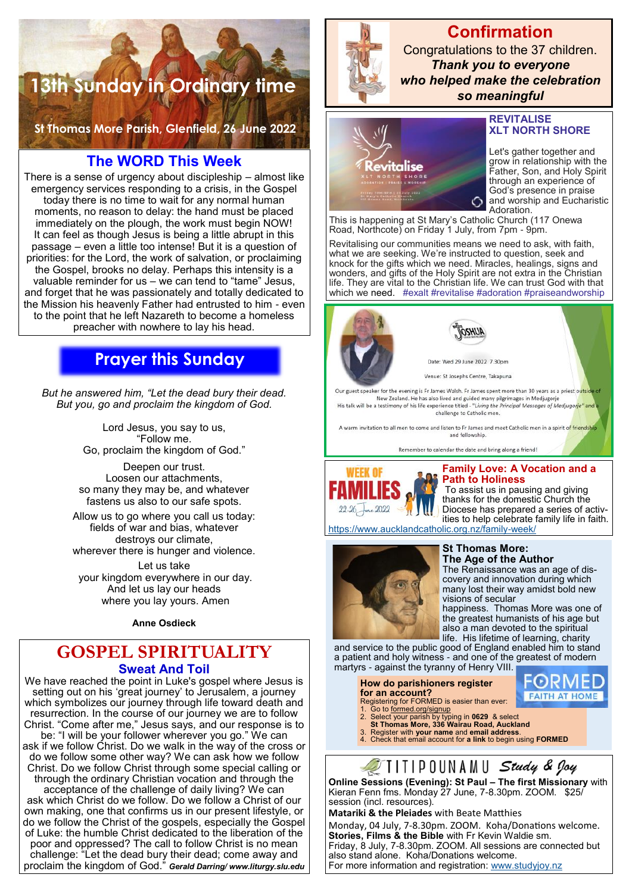# **13th Sunday in Ordinary time**

**St Thomas More Parish, Glenfield, 26 June 2022** 

## **The WORD This Week**

There is a sense of urgency about discipleship – almost like emergency services responding to a crisis, in the Gospel today there is no time to wait for any normal human moments, no reason to delay: the hand must be placed immediately on the plough, the work must begin NOW! It can feel as though Jesus is being a little abrupt in this passage – even a little too intense! But it is a question of priorities: for the Lord, the work of salvation, or proclaiming the Gospel, brooks no delay. Perhaps this intensity is a valuable reminder for us – we can tend to "tame" Jesus, and forget that he was passionately and totally dedicated to the Mission his heavenly Father had entrusted to him - even to the point that he left Nazareth to become a homeless preacher with nowhere to lay his head.

## **Prayer this Sunday**

*But he answered him, "Let the dead bury their dead. But you, go and proclaim the kingdom of God.* 

> Lord Jesus, you say to us, "Follow me. Go, proclaim the kingdom of God."

Deepen our trust. Loosen our attachments, so many they may be, and whatever fastens us also to our safe spots.

Allow us to go where you call us today: fields of war and bias, whatever destroys our climate, wherever there is hunger and violence.

Let us take your kingdom everywhere in our day. And let us lay our heads where you lay yours. Amen

**Anne Osdieck** 

## **GOSPEL SPIRITUALITY Sweat And Toil**

We have reached the point in Luke's gospel where Jesus is setting out on his 'great journey' to Jerusalem, a journey which symbolizes our journey through life toward death and resurrection. In the course of our journey we are to follow Christ. "Come after me," Jesus says, and our response is to be: "I will be your follower wherever you go." We can ask if we follow Christ. Do we walk in the way of the cross or do we follow some other way? We can ask how we follow Christ. Do we follow Christ through some special calling or through the ordinary Christian vocation and through the acceptance of the challenge of daily living? We can ask which Christ do we follow. Do we follow a Christ of our own making, one that confirms us in our present lifestyle, or do we follow the Christ of the gospels, especially the Gospel of Luke: the humble Christ dedicated to the liberation of the poor and oppressed? The call to follow Christ is no mean challenge: "Let the dead bury their dead; come away and proclaim the kingdom of God." *Gerald Darring/ www.liturgy.slu.edu*



**Confirmation** Congratulations to the 37 children. *Thank you to everyone who helped make the celebration so meaningful*



#### **REVITALISE XLT NORTH SHORE**

Let's gather together and grow in relationship with the Father, Son, and Holy Spirit through an experience of God's presence in praise and worship and Eucharistic Adoration.

This is happening at St Mary's Catholic Church (117 Onewa Road, Northcote) on Friday 1 July, from 7pm - 9pm.

Revitalising our communities means we need to ask, with faith, what we are seeking. We're instructed to question, seek and knock for the gifts which we need. Miracles, healings, signs and wonders, and gifts of the Holy Spirit are not extra in the Christian life. They are vital to the Christian life. We can trust God with that which we need. #exalt #revitalise #adoration #praiseandworship



New Zealand. He has also lived and guided many pilgrimages in Medjugorje<br>His talk will be a testimony of his life experience titled - "Living the Principal Messages of Medjugorje" are challenge to Catholic men.

A warm invitation to all men to come and listen to Fr James and meet Catholic men in a spirit of friendship and fellowship.





## **Family Love: A Vocation and a Path to Holiness**

To assist us in pausing and giving thanks for the domestic Church the Diocese has prepared a series of activities to help celebrate family life in faith.

<https://www.aucklandcatholic.org.nz/family-week/>



#### **St Thomas More: The Age of the Author**

The Renaissance was an age of discovery and innovation during which many lost their way amidst bold new visions of secular

happiness. Thomas More was one of the greatest humanists of his age but also a man devoted to the spiritual life. His lifetime of learning, charity

> FØRMED **FAITH AT HOME**

and service to the public good of England enabled him to stand a patient and holy witness - and one of the greatest of modern martyrs - against the tyranny of Henry VIII.

**How do parishioners register for an account?**

- 
- 
- Registering for FORMED is easier than ever:<br>1. Go to <u>formed.org/signup</u><br>2. Select your parish by typing in **0629** & select<br>**St Thomas More, 336 Wairau Road, Auckland**
- 
- 3. Register with **your name** and **email address**. 4. Check that email account for **a link** to begin using **FORMED**

IIIIPOUNAMU Study & Joy

**Online Sessions (Evening): St Paul – The first Missionary** with Kieran Fenn fms. Monday 27 June, 7-8.30pm. ZOOM. \$25/ session (incl. resources).

**Matariki & the Pleiades** with Beate Matthies Monday, 04 July, 7-8.30pm. ZOOM. Koha/Donations welcome. **Stories, Films & the Bible** with Fr Kevin Waldie sm. Friday, 8 July, 7-8.30pm. ZOOM. All sessions are connected but also stand alone. Koha/Donations welcome. For more information and registration: [www.studyjoy.nz](http://www.studyjoy.nz/)